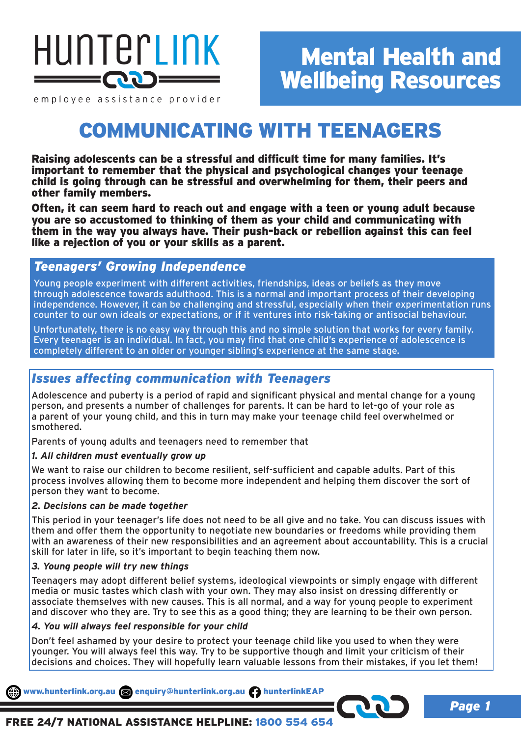

*Page 1*

employee assistance provider

# COMMUNICATING WITH TEENAGERS

Raising adolescents can be a stressful and difficult time for many families. It's important to remember that the physical and psychological changes your teenage child is going through can be stressful and overwhelming for them, their peers and other family members.

Often, it can seem hard to reach out and engage with a teen or young adult because you are so accustomed to thinking of them as your child and communicating with them in the way you always have. Their push-back or rebellion against this can feel like a rejection of you or your skills as a parent.

## *Teenagers' Growing Independence*

Young people experiment with different activities, friendships, ideas or beliefs as they move through adolescence towards adulthood. This is a normal and important process of their developing independence. However, it can be challenging and stressful, especially when their experimentation runs counter to our own ideals or expectations, or if it ventures into risk-taking or antisocial behaviour.

Unfortunately, there is no easy way through this and no simple solution that works for every family. Every teenager is an individual. In fact, you may find that one child's experience of adolescence is completely different to an older or younger sibling's experience at the same stage.

# *Issues affecting communication with Teenagers*

Adolescence and puberty is a period of rapid and significant physical and mental change for a young person, and presents a number of challenges for parents. It can be hard to let-go of your role as a parent of your young child, and this in turn may make your teenage child feel overwhelmed or smothered.

Parents of young adults and teenagers need to remember that

#### *1. All children must eventually grow up*

We want to raise our children to become resilient, self-sufficient and capable adults. Part of this process involves allowing them to become more independent and helping them discover the sort of person they want to become.

#### *2. Decisions can be made together*

This period in your teenager's life does not need to be all give and no take. You can discuss issues with them and offer them the opportunity to negotiate new boundaries or freedoms while providing them with an awareness of their new responsibilities and an agreement about accountability. This is a crucial skill for later in life, so it's important to begin teaching them now.

#### *3. Young people will try new things*

Teenagers may adopt different belief systems, ideological viewpoints or simply engage with different media or music tastes which clash with your own. They may also insist on dressing differently or associate themselves with new causes. This is all normal, and a way for young people to experiment and discover who they are. Try to see this as a good thing; they are learning to be their own person.

#### *4. You will always feel responsible for your child*

Don't feel ashamed by your desire to protect your teenage child like you used to when they were younger. You will always feel this way. Try to be supportive though and limit your criticism of their decisions and choices. They will hopefully learn valuable lessons from their mistakes, if you let them!

www.hunterlink.org.au and enquiry@hunterlink.org.au hunterlinkEAP

FREE 24/7 NATIONAL ASSISTANCE HELPLINE: 1800 554 654